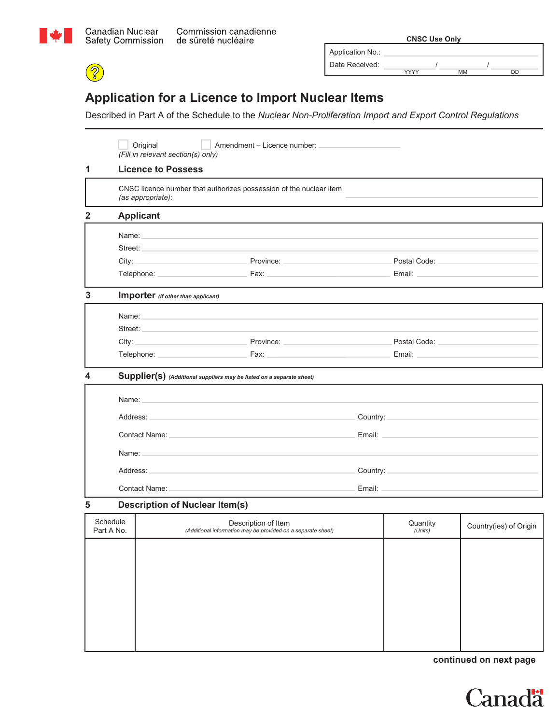

8

|                     |  | Commission canadienne |
|---------------------|--|-----------------------|
| de sûreté nucléaire |  |                       |

|                  | <b>CNSC Use Only</b> |    |    |
|------------------|----------------------|----|----|
| Application No.: |                      |    |    |
| Date Received:   |                      |    |    |
|                  | <b>VVVV</b>          | MM | DD |

## **Application for a Licence to Import Nuclear Items**

Described in Part A of the Schedule to the *Nuclear Non-Proliferation Import and Export Control Regulations* 

|                        |                                                                                                      | Original<br>Amendment – Licence number:<br>(Fill in relevant section(s) only)                                                                                                                                                  |  |                                                                                                                                                                                                                                |                        |  |  |
|------------------------|------------------------------------------------------------------------------------------------------|--------------------------------------------------------------------------------------------------------------------------------------------------------------------------------------------------------------------------------|--|--------------------------------------------------------------------------------------------------------------------------------------------------------------------------------------------------------------------------------|------------------------|--|--|
| 1                      |                                                                                                      | <b>Licence to Possess</b>                                                                                                                                                                                                      |  |                                                                                                                                                                                                                                |                        |  |  |
|                        |                                                                                                      | CNSC licence number that authorizes possession of the nuclear item<br>(as appropriate):                                                                                                                                        |  |                                                                                                                                                                                                                                |                        |  |  |
| 2                      |                                                                                                      | <b>Applicant</b>                                                                                                                                                                                                               |  |                                                                                                                                                                                                                                |                        |  |  |
|                        |                                                                                                      | Name: Name: Name: Name: Name: Name: Name: Name: Name: Name: Name: Name: Name: Name: Name: Name: Name: Name: Name: Name: Name: Name: Name: Name: Name: Name: Name: Name: Name: Name: Name: Name: Name: Name: Name: Name: Name:  |  |                                                                                                                                                                                                                                |                        |  |  |
|                        |                                                                                                      | Street: <b>Example 2018</b>                                                                                                                                                                                                    |  |                                                                                                                                                                                                                                |                        |  |  |
|                        |                                                                                                      | City: Province: Province:                                                                                                                                                                                                      |  | Postal Code: National According to the Code of the Code of the Code of the Code of the Code of the Code of the                                                                                                                 |                        |  |  |
|                        |                                                                                                      |                                                                                                                                                                                                                                |  |                                                                                                                                                                                                                                |                        |  |  |
| 3                      |                                                                                                      | Importer (If other than applicant)                                                                                                                                                                                             |  |                                                                                                                                                                                                                                |                        |  |  |
|                        |                                                                                                      | Name: Name: Name: Name: Name: Name: Name: Name: Name: Name: Name: Name: Name: Name: Name: Name: Name: Name: Name: Name: Name: Name: Name: Name: Name: Name: Name: Name: Name: Name: Name: Name: Name: Name: Name: Name: Name:  |  |                                                                                                                                                                                                                                |                        |  |  |
|                        |                                                                                                      | Street: Analysis and the street of the street of the street of the street of the street of the street of the street of the street of the street of the street of the street of the street of the street of the street of the s |  |                                                                                                                                                                                                                                |                        |  |  |
|                        |                                                                                                      | City: Province: Province: Province: Province: Postal Code: Postal Code:                                                                                                                                                        |  |                                                                                                                                                                                                                                |                        |  |  |
|                        |                                                                                                      |                                                                                                                                                                                                                                |  |                                                                                                                                                                                                                                |                        |  |  |
| 4                      |                                                                                                      | Supplier(s) (Additional suppliers may be listed on a separate sheet)                                                                                                                                                           |  |                                                                                                                                                                                                                                |                        |  |  |
|                        |                                                                                                      | Name: Name: Name: Name: Name: Name: Name: Name: Name: Name: Name: Name: Name: Name: Name: Name: Name: Name: Name: Name: Name: Name: Name: Name: Name: Name: Name: Name: Name: Name: Name: Name: Name: Name: Name: Name: Name:  |  |                                                                                                                                                                                                                                |                        |  |  |
|                        |                                                                                                      | Address: Address: Address: Address: Address: Address: Address: Address: Address: Address: Address: A                                                                                                                           |  |                                                                                                                                                                                                                                |                        |  |  |
|                        |                                                                                                      |                                                                                                                                                                                                                                |  | Email: North Management and Security and Security and Security and Security and Security and Security and Security and Security and Security and Security and Security and Security and Security and Security and Security and |                        |  |  |
|                        |                                                                                                      | Name: Name: Name: Name: Name: Name: Name: Name: Name: Name: Name: Name: Name: Name: Name: Name: Name: Name: Name: Name: Name: Name: Name: Name: Name: Name: Name: Name: Name: Name: Name: Name: Name: Name: Name: Name: Name:  |  |                                                                                                                                                                                                                                |                        |  |  |
|                        | Address: Address: Address: Address: Address: Address: Address: Address: Address: Address: Address: A |                                                                                                                                                                                                                                |  |                                                                                                                                                                                                                                |                        |  |  |
|                        |                                                                                                      | Contact Name: Name                                                                                                                                                                                                             |  |                                                                                                                                                                                                                                |                        |  |  |
| 5                      |                                                                                                      | <b>Description of Nuclear Item(s)</b>                                                                                                                                                                                          |  |                                                                                                                                                                                                                                |                        |  |  |
| Schedule<br>Part A No. |                                                                                                      | Description of Item<br>(Additional information may be provided on a separate sheet)                                                                                                                                            |  | Quantity<br>(Units)                                                                                                                                                                                                            | Country(ies) of Origin |  |  |
|                        |                                                                                                      |                                                                                                                                                                                                                                |  |                                                                                                                                                                                                                                |                        |  |  |
|                        |                                                                                                      |                                                                                                                                                                                                                                |  |                                                                                                                                                                                                                                |                        |  |  |
|                        |                                                                                                      |                                                                                                                                                                                                                                |  |                                                                                                                                                                                                                                |                        |  |  |
|                        |                                                                                                      |                                                                                                                                                                                                                                |  |                                                                                                                                                                                                                                |                        |  |  |
|                        |                                                                                                      |                                                                                                                                                                                                                                |  |                                                                                                                                                                                                                                |                        |  |  |
|                        |                                                                                                      |                                                                                                                                                                                                                                |  |                                                                                                                                                                                                                                |                        |  |  |

**continued on next page**